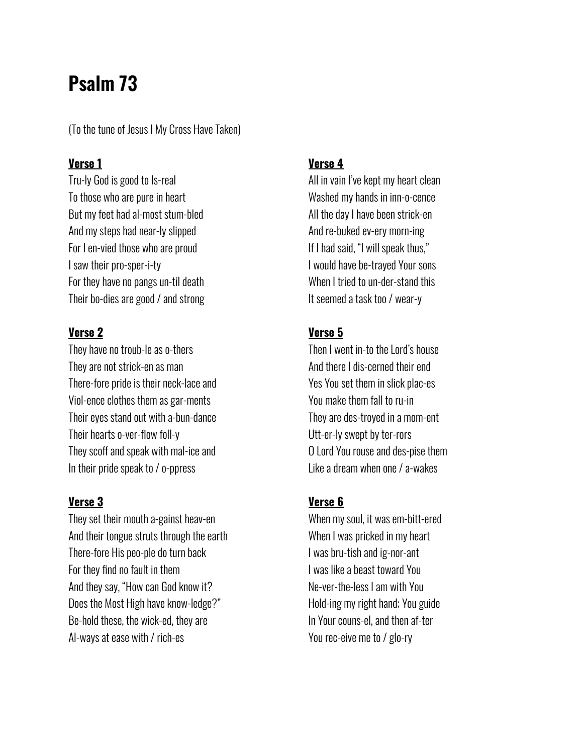# **Psalm 73**

(To the tune of Jesus I My Cross Have Taken)

#### **Verse 1**

Tru-ly God is good to Is-real To those who are pure in heart But my feet had al-most stum-bled And my steps had near-ly slipped For I en-vied those who are proud I saw their pro-sper-i-ty For they have no pangs un-til death Their bo-dies are good / and strong

## **Verse 2**

They have no troub-le as o-thers They are not strick-en as man There-fore pride is their neck-lace and Viol-ence clothes them as gar-ments Their eyes stand out with a-bun-dance Their hearts o-ver-flow foll-y They scoff and speak with mal-ice and In their pride speak to / o-ppress

## **Verse 3**

They set their mouth a-gainst heav-en And their tongue struts through the earth There-fore His peo-ple do turn back For they find no fault in them And they say, "How can God know it? Does the Most High have know-ledge?" Be-hold these, the wick-ed, they are Al-ways at ease with / rich-es

#### **Verse 4**

All in vain I've kept my heart clean Washed my hands in inn-o-cence All the day I have been strick-en And re-buked ev-ery morn-ing If I had said, "I will speak thus," I would have be-trayed Your sons When I tried to un-der-stand this It seemed a task too / wear-y

## **Verse 5**

Then I went in-to the Lord's house And there I dis-cerned their end Yes You set them in slick plac-es You make them fall to ru-in They are des-troyed in a mom-ent Utt-er-ly swept by ter-rors O Lord You rouse and des-pise them Like a dream when one / a-wakes

# **Verse 6**

When my soul, it was em-bitt-ered When I was pricked in my heart I was bru-tish and ig-nor-ant I was like a beast toward You Ne-ver-the-less I am with You Hold-ing my right hand; You guide In Your couns-el, and then af-ter You rec-eive me to / glo-ry